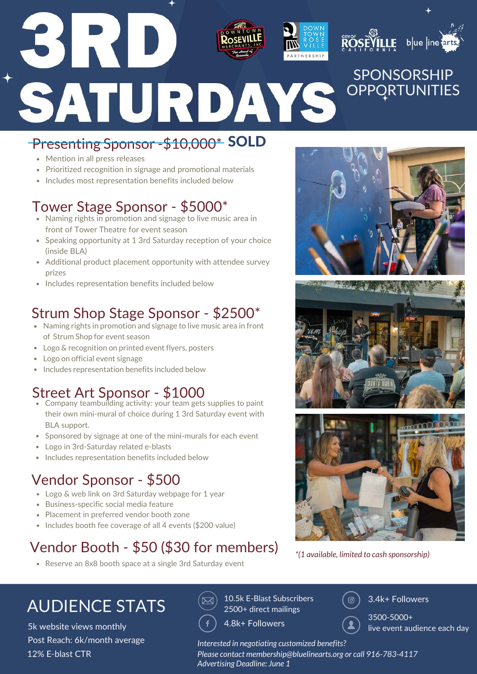

#### Presenting Sponsor -\$10,000\* SOLD

- Mention in all press releases
- Prioritized recognition in signage and promotional materials
- Includes most representation benefits included below

#### Tower Stage Sponsor - \$5000\*

- Naming rights in promotion and signage to live music area in front of Tower Theatre for event season
- Speaking opportunity at 1 3rd Saturday reception of your choice (inside BLA)
- Additional product placement opportunity with attendee survey prizes
- Includes representation benefits included below

#### Strum Shop Stage Sponsor - \$2500\*

- Naming rights in promotion and signage to live music area in front of Strum Shop for event season
- Logo & recognition on printed event flyers, posters
- Logo on official event signage
- Includes representation benefits included below

#### Street Art Sponsor - \$1000

- Company teambuilding activity: your team gets supplies to paint their own mini-mural of choice during 1 3rd Saturday event with BLA support.
- Sponsored by signage at one of the mini-murals for each event
- Logo in 3rd-Saturday related e-blasts
- Includes representation benefits included below

#### Vendor Sponsor - \$500

- Logo & web link on 3rd Saturday webpage for 1 year
- Business-specific social media feature  $\bullet$
- Placement in preferred vendor booth zone
- Includes booth fee coverage of all 4 events (\$200 value)

#### Vendor Booth - \$50 (\$30 for members)

Reserve an 8x8 booth space at a single 3rd Saturday event







*\*(1 available, limited to cash sponsorship)*

## $\textsf{AUDIENCE STATS} \qquad \overset{\textsf{(ex)}}{\approx} \, \, \overset{\text{10.5k E-Blast Subscripts}}{\approx} \,$

5k website views monthly Post Reach: 6k/month average 12% E-blast CTR

2500+ direct mailings

4.8k+ Followers

*Interested in negotiating customized benefits?* 

*Please contact membership@bluelinearts.org or call 916-783-4117 Advertising Deadline: June 1*

3.4k+ Followers

3500-5000+ live event audience each day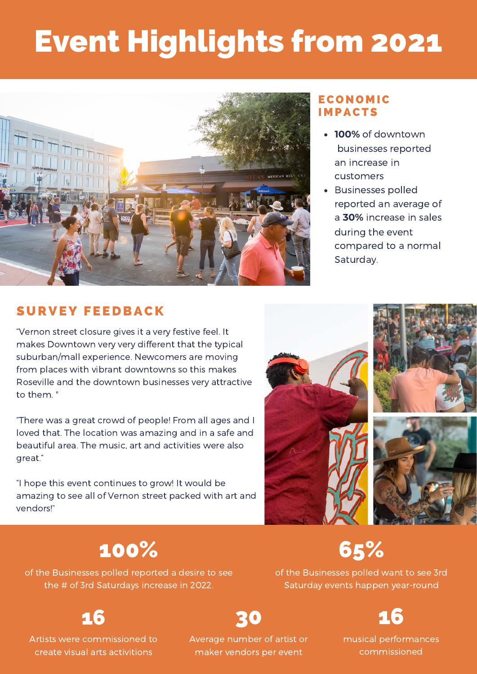# Event Highlights from 2021



#### **ECONOMIC IMPACTS**

- **100%** of downtown businesses reported an increase in customers
- Businesses polled reported an average of a **30%** increase in sales during the event compared to a normal Saturday.

#### SURVEY FEEDBACK

"Vernon street closure gives it a very festive feel. It makes Downtown very very different that the typical suburban/mall experience. Newcomers are moving from places with vibrant downtowns so this makes Roseville and the downtown businesses very attractive to them. "

"There was a great crowd of people! From all ages and I loved that. The location was amazing and in a safe and beautiful area. The music, art and activities were also great."

"I hope this event continues to grow! It would be amazing to see all of Vernon street packed with art and vendors!"



### 100%

of the Businesses polled reported a desire to see the # of 3rd Saturdays increase in 2022.

of the Businesses polled want to see 3rd Saturday events happen year-round



16

Artists were commissioned to create visual arts activitions

Average number of artist or maker vendors per event

30

musical performances commissioned

# 65%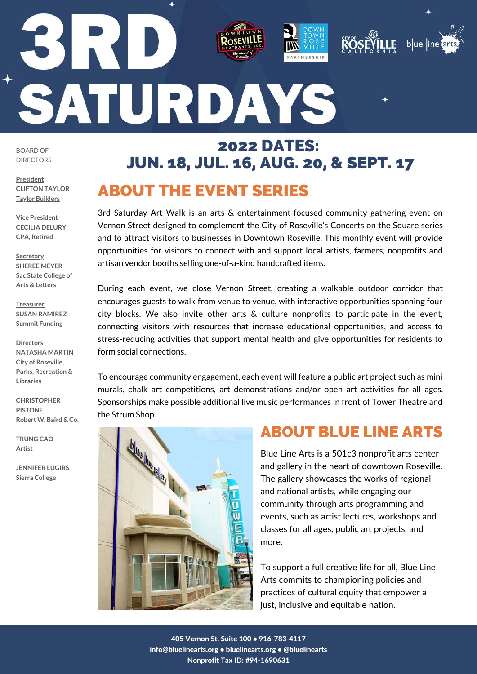# 1 T C SATURDAYS

BOARD OF DIRECTORS

**President CLIFTON TAYLOR Taylor Builders**

**Vice President CECILIA DELURY CPA, Retired**

**Secretary SHEREE MEYER Sac State College of Arts & Letters**

**Treasurer SUSAN RAMIREZ Summit Funding**

**Directors NATASHA MARTIN City of Roseville, Parks, Recreation & Libraries**

**CHRISTOPHER PISTONE Robert W. Baird & Co.**

**TRUNG CAO Artist**

**JENNIFER LUGIRS Sierra College**

 $\overline{\phantom{a}}$ 

## ABOUT THE EVENT SERIES 2022 DATES: JUN. 18, JUL. 16, AUG. 20, & SEPT. 17

RTNERSHIP

3rd Saturday Art Walk is an arts & entertainment-focused community gathering event on Vernon Street designed to complement the City of Roseville's Concerts on the Square series and to attract visitors to businesses in Downtown Roseville. This monthly event will provide opportunities for visitors to connect with and support local artists, farmers, nonprofits and artisan vendor booths selling one-of-a-kind handcrafted items.

During each event, we close Vernon Street, creating a walkable outdoor corridor that encourages guests to walk from venue to venue, with interactive opportunities spanning four city blocks. We also invite other arts & culture nonprofits to participate in the event, connecting visitors with resources that increase educational opportunities, and access to stress-reducing activities that support mental health and give opportunities for residents to form social connections.

To encourage community engagement, each event will feature a public art project such as mini murals, chalk art competitions, art demonstrations and/or open art activities for all ages. Sponsorships make possible additional live music performances in front of Tower Theatre and the Strum Shop.

#### ABOUT BLUE LINE ARTS

 $b$ ue  $|$ ine

LF

Blue Line Arts is a 501c3 nonprofit arts center and gallery in the heart of downtown Roseville. The gallery showcases the works of regional and national artists, while engaging our community through arts programming and events, such as artist lectures, workshops and classes for all ages, public art projects, and more.

To support a full creative life for all, Blue Line Arts commits to championing policies and practices of cultural equity that empower a just, inclusive and equitable nation.

405 Vernon St. Suite 100 • 916-783-4117 info@bluelinearts.org • bluelinearts.org • @bluelinearts Nonprofit Tax ID: #94-1690631